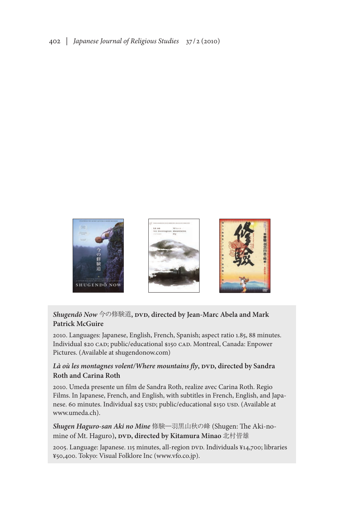

## *Shugendō Now* 今の修験道**, dvd, directed by Jean-Marc Abela and Mark Patrick McGuire**

2010. Languages: Japanese, English, French, Spanish; aspect ratio 1.85, 88 minutes. Individual \$20 CAD; public/educational \$150 CAD. Montreal, Canada: Enpower Pictures. (Available at shugendonow.com)

## Là où les montagnes volent/Where mountains fly, DVD, directed by Sandra **Roth and Carina Roth**

2010. Umeda presente un film de Sandra Roth, realize avec Carina Roth. Regio Films. In Japanese, French, and English, with subtitles in French, English, and Japanese. 60 minutes. Individual \$25 usd; public/educational \$150 usd. (Available at www.umeda.ch).

## *Shugen Haguro-san Aki no Mine* 修験―羽黒山秋の峰 (Shugen: The Aki-nomine of Mt. Haguro), DVD, directed by Kitamura Minao 北村皆雄

2005. Language: Japanese. 115 minutes, all-region DVD. Individuals ¥14,700; libraries ¥50,400. Tokyo: Visual Folklore Inc (www.vfo.co.jp).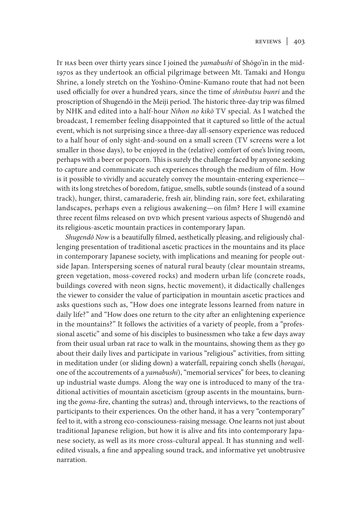It has been over thirty years since I joined the *yamabushi* of Shōgo'in in the mid-1970s as they undertook an official pilgrimage between Mt. Tamaki and Hongu Shrine, a lonely stretch on the Yoshino-Ōmine-Kumano route that had not been used officially for over a hundred years, since the time of *shinbutsu bunri* and the proscription of Shugendō in the Meiji period. The historic three-day trip was filmed by NHK and edited into a half-hour *Nihon no kikō* TV special. As I watched the broadcast, I remember feeling disappointed that it captured so little of the actual event, which is not surprising since a three-day all-sensory experience was reduced to a half hour of only sight-and-sound on a small screen (TV screens were a lot smaller in those days), to be enjoyed in the (relative) comfort of one's living room, perhaps with a beer or popcorn. This is surely the challenge faced by anyone seeking to capture and communicate such experiences through the medium of film. How is it possible to vividly and accurately convey the mountain-entering experience with its long stretches of boredom, fatigue, smells, subtle sounds (instead of a sound track), hunger, thirst, camaraderie, fresh air, blinding rain, sore feet, exhilarating landscapes, perhaps even a religious awakening—on film? Here I will examine three recent films released on DVD which present various aspects of Shugendō and its religious-ascetic mountain practices in contemporary Japan.

*Shugendō Now* is a beautifully filmed, aesthetically pleasing, and religiously challenging presentation of traditional ascetic practices in the mountains and its place in contemporary Japanese society, with implications and meaning for people outside Japan. Interspersing scenes of natural rural beauty (clear mountain streams, green vegetation, moss-covered rocks) and modern urban life (concrete roads, buildings covered with neon signs, hectic movement), it didactically challenges the viewer to consider the value of participation in mountain ascetic practices and asks questions such as, "How does one integrate lessons learned from nature in daily life?" and "How does one return to the city after an enlightening experience in the mountains?" It follows the activities of a variety of people, from a "professional ascetic" and some of his disciples to businessmen who take a few days away from their usual urban rat race to walk in the mountains, showing them as they go about their daily lives and participate in various "religious" activities, from sitting in meditation under (or sliding down) a waterfall, repairing conch shells (*horagai*, one of the accoutrements of a *yamabushi*), "memorial services" for bees, to cleaning up industrial waste dumps. Along the way one is introduced to many of the traditional activities of mountain asceticism (group ascents in the mountains, burning the *goma*-fire, chanting the sutras) and, through interviews, to the reactions of participants to their experiences. On the other hand, it has a very "contemporary" feel to it, with a strong eco-consciouness-raising message. One learns not just about traditional Japanese religion, but how it is alive and fits into contemporary Japanese society, as well as its more cross-cultural appeal. It has stunning and welledited visuals, a fine and appealing sound track, and informative yet unobtrusive narration.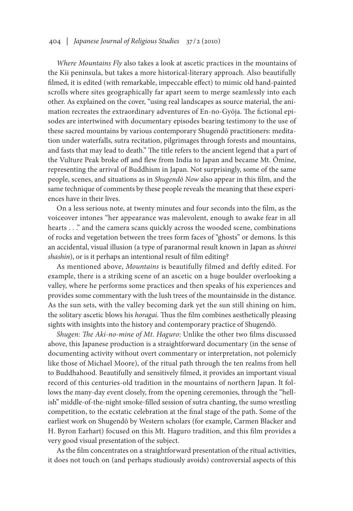## 404 | *Japanese Journal of Religious Studies* 37/2 (2010)

*Where Mountains Fly* also takes a look at ascetic practices in the mountains of the Kii peninsula, but takes a more historical-literary approach. Also beautifully filmed, it is edited (with remarkable, impeccable effect) to mimic old hand-painted scrolls where sites geographically far apart seem to merge seamlessly into each other. As explained on the cover, "using real landscapes as source material, the animation recreates the extraordinary adventures of En-no-Gyōja. The fictional episodes are intertwined with documentary episodes bearing testimony to the use of these sacred mountains by various contemporary Shugendō practitioners: meditation under waterfalls, sutra recitation, pilgrimages through forests and mountains, and fasts that may lead to death." The title refers to the ancient legend that a part of the Vulture Peak broke off and flew from India to Japan and became Mt. Ōmine, representing the arrival of Buddhism in Japan. Not surprisingly, some of the same people, scenes, and situations as in *Shugendō Now* also appear in this film, and the same technique of comments by these people reveals the meaning that these experiences have in their lives.

On a less serious note, at twenty minutes and four seconds into the film, as the voiceover intones "her appearance was malevolent, enough to awake fear in all hearts . . ." and the camera scans quickly across the wooded scene, combinations of rocks and vegetation between the trees form faces of "ghosts" or demons. Is this an accidental, visual illusion (a type of paranormal result known in Japan as *shinrei shashin*), or is it perhaps an intentional result of film editing?

As mentioned above, *Mountains* is beautifully filmed and deftly edited. For example, there is a striking scene of an ascetic on a huge boulder overlooking a valley, where he performs some practices and then speaks of his experiences and provides some commentary with the lush trees of the mountainside in the distance. As the sun sets, with the valley becoming dark yet the sun still shining on him, the solitary ascetic blows his *horagai*. Thus the film combines aesthetically pleasing sights with insights into the history and contemporary practice of Shugendō.

*Shugen: The Aki-no-mine of Mt. Haguro*: Unlike the other two films discussed above, this Japanese production is a straightforward documentary (in the sense of documenting activity without overt commentary or interpretation, not polemicly like those of Michael Moore), of the ritual path through the ten realms from hell to Buddhahood. Beautifully and sensitively filmed, it provides an important visual record of this centuries-old tradition in the mountains of northern Japan. It follows the many-day event closely, from the opening ceremonies, through the "hellish" middle-of-the-night smoke-filled session of sutra chanting, the sumo wrestling competition, to the ecstatic celebration at the final stage of the path. Some of the earliest work on Shugendō by Western scholars (for example, Carmen Blacker and H. Byron Earhart) focused on this Mt. Haguro tradition, and this film provides a very good visual presentation of the subject.

As the film concentrates on a straightforward presentation of the ritual activities, it does not touch on (and perhaps studiously avoids) controversial aspects of this